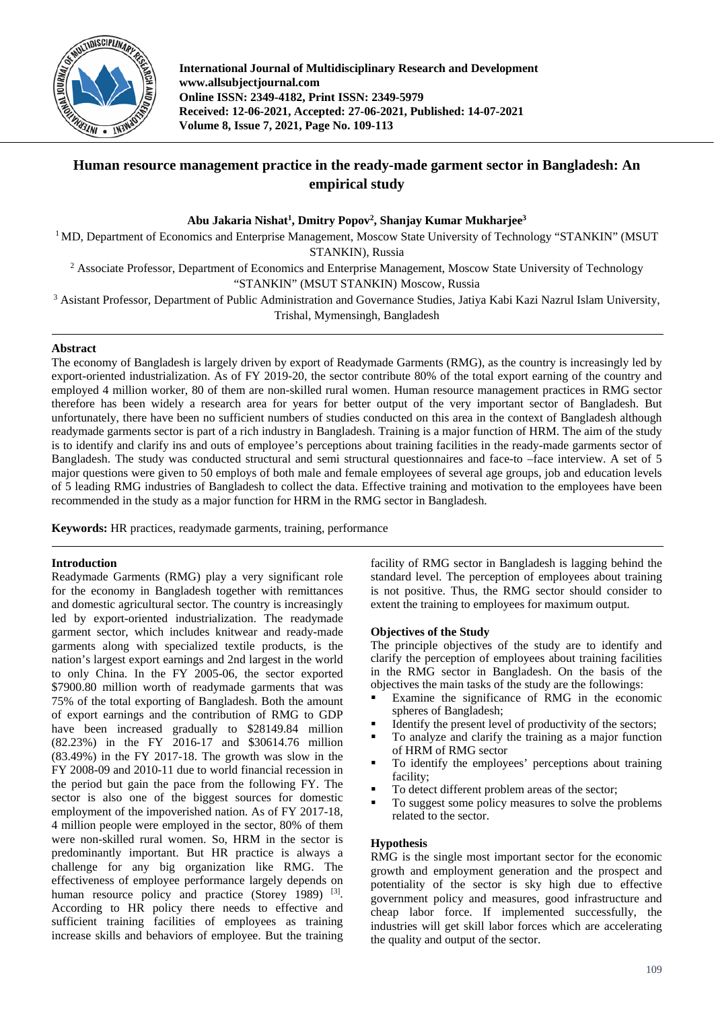

**International Journal of Multidisciplinary Research and Development www.allsubjectjournal.com Online ISSN: 2349-4182, Print ISSN: 2349-5979 Received: 12-06-2021, Accepted: 27-06-2021, Published: 14-07-2021 Volume 8, Issue 7, 2021, Page No. 109-113**

# **Human resource management practice in the ready-made garment sector in Bangladesh: An empirical study**

**Abu Jakaria Nishat1 , Dmitry Popov2 , Shanjay Kumar Mukharjee3**

<sup>1</sup> MD, Department of Economics and Enterprise Management, Moscow State University of Technology "STANKIN" (MSUT STANKIN), Russia

<sup>2</sup> Associate Professor, Department of Economics and Enterprise Management, Moscow State University of Technology "STANKIN" (MSUT STANKIN) Moscow, Russia

<sup>3</sup> Asistant Professor, Department of Public Administration and Governance Studies, Jatiya Kabi Kazi Nazrul Islam University, Trishal, Mymensingh, Bangladesh

## **Abstract**

The economy of Bangladesh is largely driven by export of Readymade Garments (RMG), as the country is increasingly led by export-oriented industrialization. As of FY 2019-20, the sector contribute 80% of the total export earning of the country and employed 4 million worker, 80 of them are non-skilled rural women. Human resource management practices in RMG sector therefore has been widely a research area for years for better output of the very important sector of Bangladesh. But unfortunately, there have been no sufficient numbers of studies conducted on this area in the context of Bangladesh although readymade garments sector is part of a rich industry in Bangladesh. Training is a major function of HRM. The aim of the study is to identify and clarify ins and outs of employee's perceptions about training facilities in the ready-made garments sector of Bangladesh. The study was conducted structural and semi structural questionnaires and face-to –face interview. A set of 5 major questions were given to 50 employs of both male and female employees of several age groups, job and education levels of 5 leading RMG industries of Bangladesh to collect the data. Effective training and motivation to the employees have been recommended in the study as a major function for HRM in the RMG sector in Bangladesh.

**Keywords:** HR practices, readymade garments, training, performance

## **Introduction**

Readymade Garments (RMG) play a very significant role for the economy in Bangladesh together with remittances and domestic agricultural sector. The country is increasingly led by export-oriented industrialization. The readymade garment sector, which includes knitwear and ready-made garments along with specialized textile products, is the nation's largest export earnings and 2nd largest in the world to only China. In the FY 2005-06, the sector exported \$7900.80 million worth of readymade garments that was 75% of the total exporting of Bangladesh. Both the amount of export earnings and the contribution of RMG to GDP have been increased gradually to \$28149.84 million (82.23%) in the FY 2016-17 and \$30614.76 million  $(83.49%)$  in the FY 2017-18. The growth was slow in the FY 2008-09 and 2010-11 due to world financial recession in the period but gain the pace from the following FY. The sector is also one of the biggest sources for domestic employment of the impoverished nation. As of FY 2017-18, 4 million people were employed in the sector, 80% of them were non-skilled rural women. So, HRM in the sector is predominantly important. But HR practice is always a challenge for any big organization like RMG. The effectiveness of employee performance largely depends on human resource policy and practice (Storey 1989) <sup>[3]</sup>. According to HR policy there needs to effective and sufficient training facilities of employees as training increase skills and behaviors of employee. But the training

facility of RMG sector in Bangladesh is lagging behind the standard level. The perception of employees about training is not positive. Thus, the RMG sector should consider to extent the training to employees for maximum output.

## **Objectives of the Study**

The principle objectives of the study are to identify and clarify the perception of employees about training facilities in the RMG sector in Bangladesh. On the basis of the objectives the main tasks of the study are the followings:

- Examine the significance of RMG in the economic spheres of Bangladesh;
- Identify the present level of productivity of the sectors;
- To analyze and clarify the training as a major function of HRM of RMG sector
- To identify the employees' perceptions about training facility;
- To detect different problem areas of the sector;
- To suggest some policy measures to solve the problems related to the sector.

## **Hypothesis**

RMG is the single most important sector for the economic growth and employment generation and the prospect and potentiality of the sector is sky high due to effective government policy and measures, good infrastructure and cheap labor force. If implemented successfully, the industries will get skill labor forces which are accelerating the quality and output of the sector.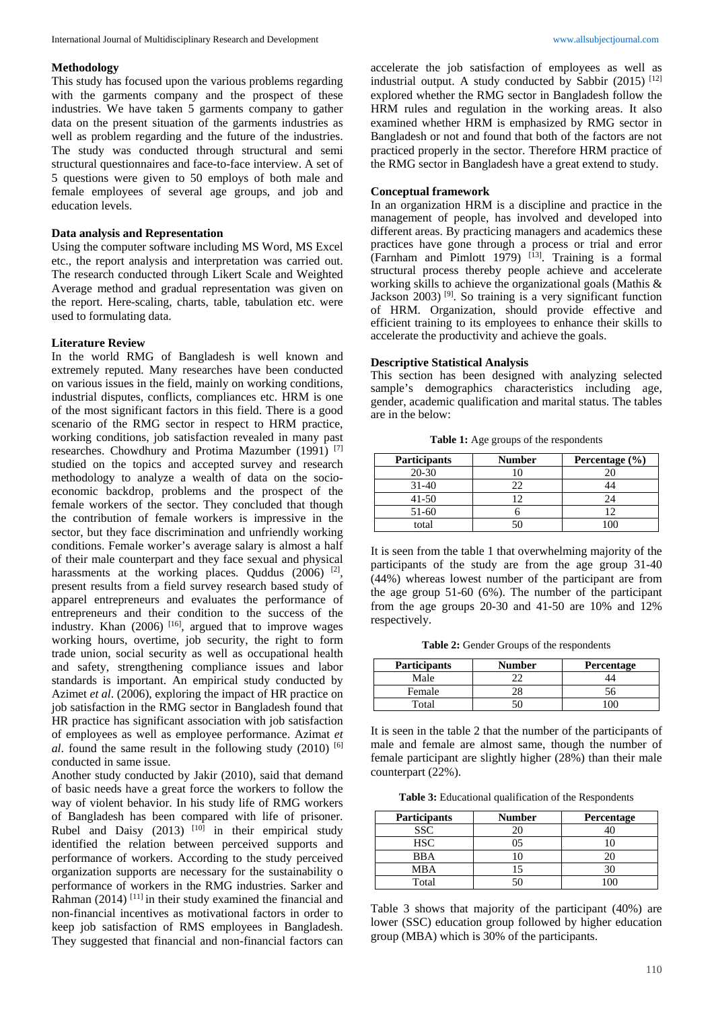#### **Methodology**

This study has focused upon the various problems regarding with the garments company and the prospect of these industries. We have taken 5 garments company to gather data on the present situation of the garments industries as well as problem regarding and the future of the industries. The study was conducted through structural and semi structural questionnaires and face-to-face interview. A set of 5 questions were given to 50 employs of both male and female employees of several age groups, and job and education levels.

## **Data analysis and Representation**

Using the computer software including MS Word, MS Excel etc., the report analysis and interpretation was carried out. The research conducted through Likert Scale and Weighted Average method and gradual representation was given on the report. Here-scaling, charts, table, tabulation etc. were used to formulating data.

#### **Literature Review**

In the world RMG of Bangladesh is well known and extremely reputed. Many researches have been conducted on various issues in the field, mainly on working conditions, industrial disputes, conflicts, compliances etc. HRM is one of the most significant factors in this field. There is a good scenario of the RMG sector in respect to HRM practice, working conditions, job satisfaction revealed in many past researches. Chowdhury and Protima Mazumber (1991) [7] studied on the topics and accepted survey and research methodology to analyze a wealth of data on the socioeconomic backdrop, problems and the prospect of the female workers of the sector. They concluded that though the contribution of female workers is impressive in the sector, but they face discrimination and unfriendly working conditions. Female worker's average salary is almost a half of their male counterpart and they face sexual and physical harassments at the working places. Quddus (2006) <sup>[2]</sup>, present results from a field survey research based study of apparel entrepreneurs and evaluates the performance of entrepreneurs and their condition to the success of the industry. Khan (2006)<sup>[16]</sup>, argued that to improve wages working hours, overtime, job security, the right to form trade union, social security as well as occupational health and safety, strengthening compliance issues and labor standards is important. An empirical study conducted by Azimet *et al*. (2006), exploring the impact of HR practice on job satisfaction in the RMG sector in Bangladesh found that HR practice has significant association with job satisfaction of employees as well as employee performance. Azimat *et al*. found the same result in the following study (2010) [6] conducted in same issue.

Another study conducted by Jakir (2010), said that demand of basic needs have a great force the workers to follow the way of violent behavior. In his study life of RMG workers of Bangladesh has been compared with life of prisoner. Rubel and Daisy  $(2013)$  <sup>[10]</sup> in their empirical study identified the relation between perceived supports and performance of workers. According to the study perceived organization supports are necessary for the sustainability o performance of workers in the RMG industries. Sarker and Rahman  $(2014)$ <sup>[11]</sup> in their study examined the financial and non-financial incentives as motivational factors in order to keep job satisfaction of RMS employees in Bangladesh. They suggested that financial and non-financial factors can

accelerate the job satisfaction of employees as well as industrial output. A study conducted by Sabbir  $(2015)$ <sup>[12]</sup> explored whether the RMG sector in Bangladesh follow the HRM rules and regulation in the working areas. It also examined whether HRM is emphasized by RMG sector in Bangladesh or not and found that both of the factors are not practiced properly in the sector. Therefore HRM practice of the RMG sector in Bangladesh have a great extend to study.

#### **Conceptual framework**

In an organization HRM is a discipline and practice in the management of people, has involved and developed into different areas. By practicing managers and academics these practices have gone through a process or trial and error (Farnham and Pimlott 1979) <sup>[13]</sup>. Training is a formal structural process thereby people achieve and accelerate working skills to achieve the organizational goals (Mathis & Jackson 2003)<sup>[9]</sup>. So training is a very significant function of HRM. Organization, should provide effective and efficient training to its employees to enhance their skills to accelerate the productivity and achieve the goals.

#### **Descriptive Statistical Analysis**

This section has been designed with analyzing selected sample's demographics characteristics including age, gender, academic qualification and marital status. The tables are in the below:

**Table 1:** Age groups of the respondents

| <b>Participants</b> | <b>Number</b> | Percentage $(\% )$ |
|---------------------|---------------|--------------------|
| $20 - 30$           |               |                    |
| $31 - 40$           | רי            |                    |
| $41 - 50$           |               |                    |
| $51-60$             |               |                    |
| total               |               |                    |

It is seen from the table 1 that overwhelming majority of the participants of the study are from the age group 31-40 (44%) whereas lowest number of the participant are from the age group 51-60 (6%). The number of the participant from the age groups 20-30 and 41-50 are 10% and 12% respectively.

**Table 2:** Gender Groups of the respondents

| <b>Participants</b> | <b>Number</b> | Percentage |
|---------------------|---------------|------------|
| Male                |               |            |
| Female              |               |            |
| Total               |               |            |

It is seen in the table 2 that the number of the participants of male and female are almost same, though the number of female participant are slightly higher (28%) than their male counterpart (22%).

**Table 3:** Educational qualification of the Respondents

| <b>Participants</b> | <b>Number</b> | <b>Percentage</b> |  |
|---------------------|---------------|-------------------|--|
| <b>SSC</b>          |               |                   |  |
| <b>HSC</b>          |               |                   |  |
| <b>BBA</b>          |               |                   |  |
| MBA                 |               |                   |  |
| Total               |               |                   |  |

Table 3 shows that majority of the participant (40%) are lower (SSC) education group followed by higher education group (MBA) which is 30% of the participants.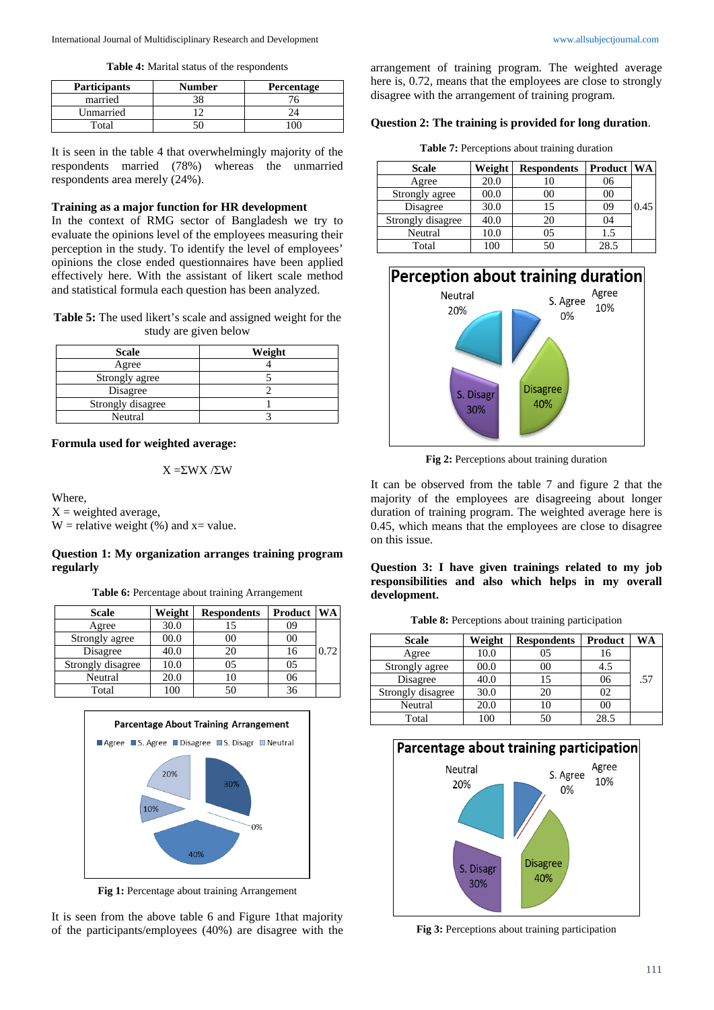**Table 4:** Marital status of the respondents

| <b>Participants</b> | <b>Number</b> | <b>Percentage</b> |
|---------------------|---------------|-------------------|
| married             |               |                   |
| Unmarried           |               |                   |
| Total               |               |                   |

It is seen in the table 4 that overwhelmingly majority of the respondents married (78%) whereas the unmarried respondents area merely (24%).

## **Training as a major function for HR development**

In the context of RMG sector of Bangladesh we try to evaluate the opinions level of the employees measuring their perception in the study. To identify the level of employees' opinions the close ended questionnaires have been applied effectively here. With the assistant of likert scale method and statistical formula each question has been analyzed.

**Table 5:** The used likert's scale and assigned weight for the study are given below

| <b>Scale</b>      | Weight |
|-------------------|--------|
| Agree             |        |
| Strongly agree    |        |
| Disagree          |        |
| Strongly disagree |        |
| Neutral           |        |

#### **Formula used for weighted average:**

X =ΣWX /ΣW

Where,

 $X =$  weighted average, W = relative weight  $(\%)$  and x = value.

### **Question 1: My organization arranges training program regularly**

**Table 6:** Percentage about training Arrangement

| <b>Scale</b>      | Weight | <b>Respondents</b> | Product | WA   |
|-------------------|--------|--------------------|---------|------|
| Agree             | 30.0   | 15                 | 09      |      |
| Strongly agree    | 00.0   | $00\,$             | 00      |      |
| Disagree          | 40.0   | 20                 | 16      | 0.72 |
| Strongly disagree | 10.0   | 0.5                | 05      |      |
| Neutral           | 20.0   | 10                 | 06      |      |
| Total             | 100    | 50                 | 36      |      |



**Fig 1:** Percentage about training Arrangement

It is seen from the above table 6 and Figure 1that majority of the participants/employees (40%) are disagree with the

arrangement of training program. The weighted average here is, 0.72, means that the employees are close to strongly disagree with the arrangement of training program.

## **Question 2: The training is provided for long duration**.

**Table 7:** Perceptions about training duration

| <b>Scale</b>      | Weight | <b>Respondents</b> | Product | <b>WA</b> |
|-------------------|--------|--------------------|---------|-----------|
| Agree             | 20.0   | 10                 | 06      |           |
| Strongly agree    | 00.0   | 00                 | 00      |           |
| Disagree          | 30.0   | 15                 | 09      | 0.45      |
| Strongly disagree | 40.0   | 20                 | 04      |           |
| Neutral           | 10.0   | 0.5                | 1.5     |           |
| Total             | 100    | 50                 | 28.5    |           |



**Fig 2:** Perceptions about training duration

It can be observed from the table 7 and figure 2 that the majority of the employees are disagreeing about longer duration of training program. The weighted average here is 0.45, which means that the employees are close to disagree on this issue.

### **Question 3: I have given trainings related to my job responsibilities and also which helps in my overall development.**

| <b>Scale</b>      | Weight | <b>Respondents</b> | Product | WΑ  |
|-------------------|--------|--------------------|---------|-----|
| Agree             | 10.0   | 05                 | 16      |     |
| Strongly agree    | 00.0   | 00                 | 4.5     |     |
| Disagree          | 40.0   | 15                 | 06      | .57 |
| Strongly disagree | 30.0   | 20                 | 02      |     |
| Neutral           | 20.0   | 10                 | 00      |     |
| Total             | 100    | 50                 | 28.5    |     |



**Fig 3:** Perceptions about training participation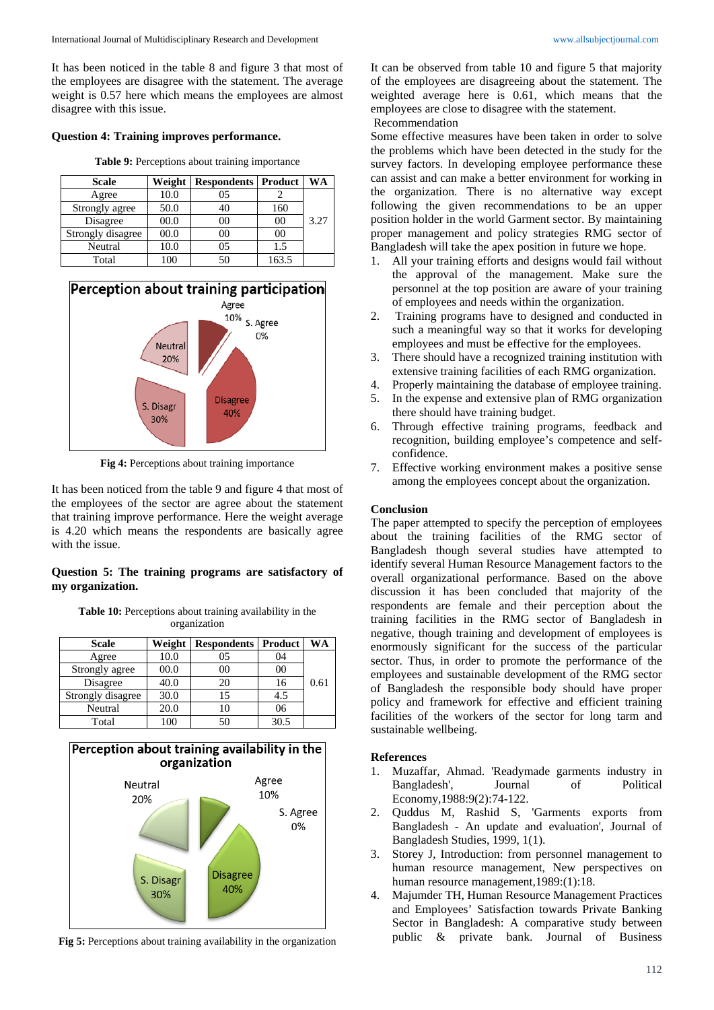It has been noticed in the table 8 and figure 3 that most of the employees are disagree with the statement. The average weight is 0.57 here which means the employees are almost disagree with this issue.

#### **Question 4: Training improves performance.**

**Table 9:** Perceptions about training importance

| <b>Scale</b>      | Weight | <b>Respondents Product</b> |                | WA   |
|-------------------|--------|----------------------------|----------------|------|
| Agree             | 10.0   | 05                         |                |      |
| Strongly agree    | 50.0   | 40                         | 160            |      |
| Disagree          | 00.0   | 00                         | 0 <sup>0</sup> | 3.27 |
| Strongly disagree | 00.0   | 00                         | 0 <sup>0</sup> |      |
| Neutral           | 10.0   | 05                         | 1.5            |      |
| Total             | 100    | 50                         | 163.5          |      |



**Fig 4:** Perceptions about training importance

It has been noticed from the table 9 and figure 4 that most of the employees of the sector are agree about the statement that training improve performance. Here the weight average is 4.20 which means the respondents are basically agree with the issue.

## **Question 5: The training programs are satisfactory of my organization.**

**Table 10:** Perceptions about training availability in the organization

| <b>Scale</b>      | Weight | <b>Respondents   Product</b> |        | WA   |
|-------------------|--------|------------------------------|--------|------|
| Agree             | 10.0   | 05                           | 04     |      |
| Strongly agree    | 00.0   | 0 <sup>0</sup>               | $00\,$ |      |
| Disagree          | 40.0   | 20                           | 16     | 0.61 |
| Strongly disagree | 30.0   | 15                           | 4.5    |      |
| Neutral           | 20.0   | 10                           | 06     |      |
| Total             | 100    | 50                           | 30.5   |      |



**Fig 5:** Perceptions about training availability in the organization

It can be observed from table 10 and figure 5 that majority of the employees are disagreeing about the statement. The weighted average here is 0.61, which means that the employees are close to disagree with the statement.

Recommendation

Some effective measures have been taken in order to solve the problems which have been detected in the study for the survey factors. In developing employee performance these can assist and can make a better environment for working in the organization. There is no alternative way except following the given recommendations to be an upper position holder in the world Garment sector. By maintaining proper management and policy strategies RMG sector of Bangladesh will take the apex position in future we hope.

- 1. All your training efforts and designs would fail without the approval of the management. Make sure the personnel at the top position are aware of your training of employees and needs within the organization.
- 2. Training programs have to designed and conducted in such a meaningful way so that it works for developing employees and must be effective for the employees.
- 3. There should have a recognized training institution with extensive training facilities of each RMG organization.
- 4. Properly maintaining the database of employee training.
- 5. In the expense and extensive plan of RMG organization there should have training budget.
- 6. Through effective training programs, feedback and recognition, building employee's competence and selfconfidence.
- 7. Effective working environment makes a positive sense among the employees concept about the organization.

#### **Conclusion**

The paper attempted to specify the perception of employees about the training facilities of the RMG sector of Bangladesh though several studies have attempted to identify several Human Resource Management factors to the overall organizational performance. Based on the above discussion it has been concluded that majority of the respondents are female and their perception about the training facilities in the RMG sector of Bangladesh in negative, though training and development of employees is enormously significant for the success of the particular sector. Thus, in order to promote the performance of the employees and sustainable development of the RMG sector of Bangladesh the responsible body should have proper policy and framework for effective and efficient training facilities of the workers of the sector for long tarm and sustainable wellbeing.

### **References**

- 1. Muzaffar, Ahmad. 'Readymade garments industry in Bangladesh', Journal of Political Economy,1988:9(2):74-122.
- 2. Quddus M, Rashid S, 'Garments exports from Bangladesh - An update and evaluation', Journal of Bangladesh Studies, 1999, 1(1).
- 3. Storey J, Introduction: from personnel management to human resource management, New perspectives on human resource management,1989:(1):18.
- 4. Majumder TH, Human Resource Management Practices and Employees' Satisfaction towards Private Banking Sector in Bangladesh: A comparative study between public & private bank. Journal of Business